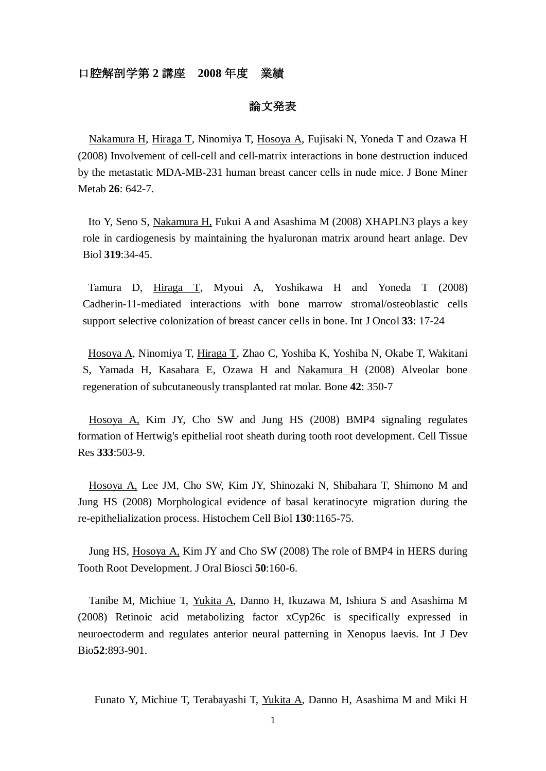## 口腔解剖学第 **2** 講座 **2008** 年度 業績

#### 論文発表

Nakamura H, Hiraga T, Ninomiya T, Hosoya A, Fujisaki N, Yoneda T and Ozawa H (2008) Involvement of cell-cell and cell-matrix interactions in bone destruction induced by the metastatic MDA-MB-231 human breast cancer cells in nude mice. J Bone Miner Metab **26**: 642-7.

Ito Y, Seno S, Nakamura H, Fukui A and Asashima M (2008) XHAPLN3 plays a key role in cardiogenesis by maintaining the hyaluronan matrix around heart anlage. Dev Biol **319**:34-45.

Tamura D, Hiraga T, Myoui A, Yoshikawa H and Yoneda T (2008) Cadherin-11-mediated interactions with bone marrow stromal/osteoblastic cells support selective colonization of breast cancer cells in bone. Int J Oncol **33**: 17-24

Hosoya A, Ninomiya T, Hiraga T, Zhao C, Yoshiba K, Yoshiba N, Okabe T, Wakitani S, Yamada H, Kasahara E, Ozawa H and Nakamura H (2008) Alveolar bone regeneration of subcutaneously transplanted rat molar. Bone **42**: 350-7

Hosoya A, Kim JY, Cho SW and Jung HS (2008) BMP4 signaling regulates formation of Hertwig's epithelial root sheath during tooth root development. Cell Tissue Res **333**:503-9.

Hosoya A, Lee JM, Cho SW, Kim JY, Shinozaki N, Shibahara T, Shimono M and Jung HS (2008) Morphological evidence of basal keratinocyte migration during the re-epithelialization process. Histochem Cell Biol **130**:1165-75.

Jung HS, Hosoya A, Kim JY and Cho SW (2008) The role of BMP4 in HERS during Tooth Root Development. J Oral Biosci **50**:160-6.

Tanibe M, Michiue T, Yukita A, Danno H, Ikuzawa M, Ishiura S and Asashima M (2008) Retinoic acid metabolizing factor xCyp26c is specifically expressed in neuroectoderm and regulates anterior neural patterning in Xenopus laevis. Int J Dev Bio**52**:893-901.

Funato Y, Michiue T, Terabayashi T, Yukita A, Danno H, Asashima M and Miki H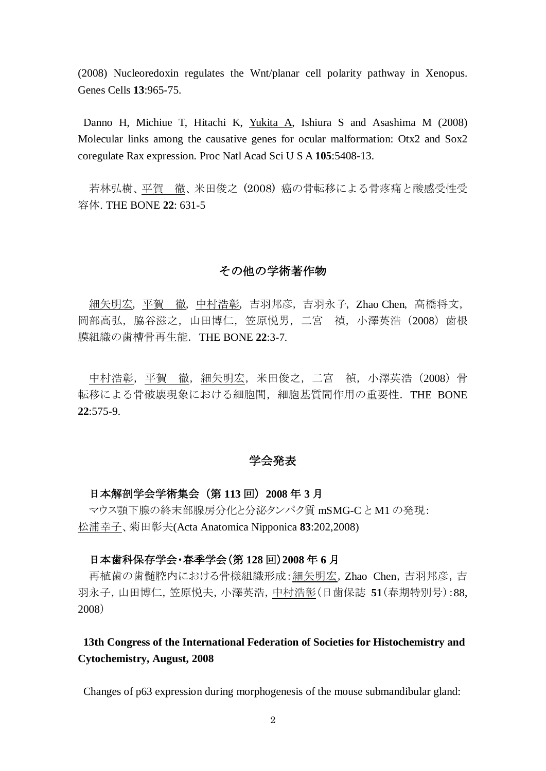(2008) Nucleoredoxin regulates the Wnt/planar cell polarity pathway in Xenopus. Genes Cells **13**:965-75.

Danno H, Michiue T, Hitachi K, Yukita A, Ishiura S and Asashima M (2008) Molecular links among the causative genes for ocular malformation: Otx2 and Sox2 coregulate Rax expression. Proc Natl Acad Sci U S A **105**:5408-13.

若林弘樹、平賀 徹、米田俊之 (2008) 癌の骨転移による骨疼痛と酸感受性受 容体. THE BONE **22**: 631-5

## その他の学術著作物

細矢明宏,平賀 徹,中村浩彰,吉羽邦彦,吉羽永子,Zhao Chen,高橋将文, 岡部高弘,脇谷滋之,山田博仁,笠原悦男,二宮 禎,小澤英浩(2008)歯根 膜組織の歯槽骨再生能.THE BONE **22**:3-7.

中村浩彰,平賀 徹,細矢明宏,米田俊之,二宮 禎,小澤英浩 (2008) 骨 転移による骨破壊現象における細胞間, 細胞基質間作用の重要性. THE BONE **22**:575-9.

#### 学会発表

### 日本解剖学会学術集会 (第 **113** 回) **2008** 年 **3** 月

マウス顎下腺の終末部腺房分化と分泌タンパク質 mSMG-C と M1 の発現: 松浦幸子、菊田彰夫(Acta Anatomica Nipponica **83**:202,2008)

## 日本歯科保存学会・春季学会(第 **128** 回)**2008** 年 **6** 月

再植歯の歯髄腔内における骨様組織形成:細矢明宏,Zhao Chen,吉羽邦彦,吉 羽永子,山田博仁,笠原悦夫,小澤英浩,中村浩彰(日歯保誌 **51**(春期特別号):88, 2008)

# **13th Congress of the International Federation of Societies for Histochemistry and Cytochemistry, August, 2008**

Changes of p63 expression during morphogenesis of the mouse submandibular gland: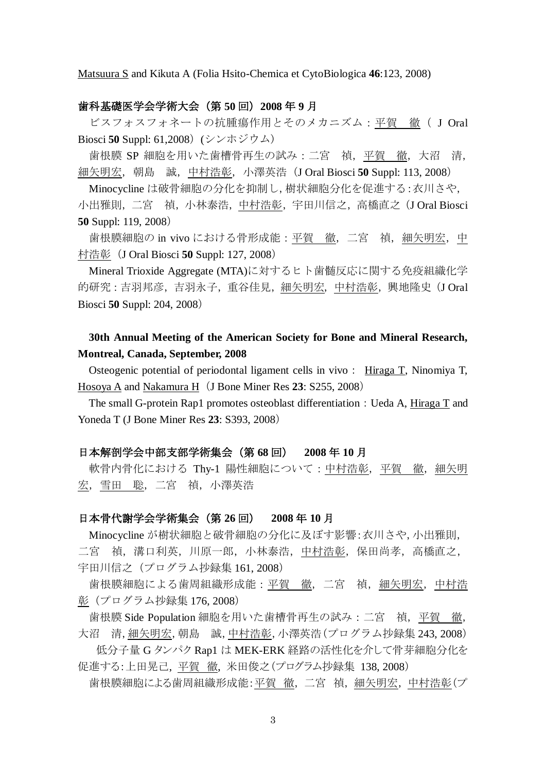Matsuura S and Kikuta A (Folia Hsito-Chemica et CytoBiologica **46**:123, 2008)

#### 歯科基礎医学会学術大会(第 **50** 回)**2008** 年 **9** 月

ビスフォスフォネートの抗腫瘍作用とそのメカニズム:平賀 徹( J Oral Biosci **50** Suppl: 61,2008)(シンホジウム)

歯根膜 SP 細胞を用いた歯槽骨再生の試み:二宮 禎,平賀 徹,大沼 清, 細矢明宏,朝島 誠,中村浩彰,小澤英浩(J Oral Biosci **50** Suppl: 113, 2008)

Minocycline は破骨細胞の分化を抑制し,樹状細胞分化を促進する:衣川さや, 小出雅則,二宮 禎,小林泰浩,中村浩彰,宇田川信之,高橋直之(J Oral Biosci **50** Suppl: 119, 2008)

歯根膜細胞の in vivo における骨形成能:平賀 徹, 二宮 禎, 細矢明宏, 中 村浩彰(J Oral Biosci **50** Suppl: 127, 2008)

Mineral Trioxide Aggregate (MTA)に対するヒト歯髄反応に関する免疫組織化学 的研究:吉羽邦彦,吉羽永子,重谷佳見,細矢明宏,中村浩彰,興地隆史(J Oral Biosci **50** Suppl: 204, 2008)

## **30th Annual Meeting of the American Society for Bone and Mineral Research, Montreal, Canada, September, 2008**

Osteogenic potential of periodontal ligament cells in vivo: Hiraga T, Ninomiya T, Hosoya A and Nakamura H (J Bone Miner Res 23: S255, 2008)

The small G-protein Rap1 promotes osteoblast differentiation: Ueda A, Hiraga T and Yoneda T (J Bone Miner Res **23**: S393, 2008)

#### 日本解剖学会中部支部学術集会(第 **68** 回) **2008** 年 **10** 月

軟骨内骨化における Thy-1 陽性細胞について:中村浩彰,平賀 徹, 細矢明 宏,雪田 聡,二宮 禎,小澤英浩

#### 日本骨代謝学会学術集会(第 **26** 回) **2008** 年 **10** 月

Minocycline が樹状細胞と破骨細胞の分化に及ぼす影響:衣川さや,小出雅則, 二宮 禎, 溝口利英, 川原一郎, 小林泰浩, 中村浩彰, 保田尚孝, 高橋直之, 宇田川信之(プログラム抄録集 161, 2008)

歯根膜細胞による歯周組織形成能:平賀 徹,二宮 禎, 細矢明宏, 中村浩 彰(プログラム抄録集 176, 2008)

歯根膜 Side Population 細胞を用いた歯槽骨再生の試み:二宮 禎, 平賀 徹, 大沼 清,細矢明宏,朝島 誠,中村浩彰,小澤英浩(プログラム抄録集 243, 2008)

低分子量 G タンパク Rap1 は MEK-ERK 経路の活性化を介して骨芽細胞分化を 促進する:上田晃己, 平賀 徹, 米田俊之(プログラム抄録集 138, 2008)

歯根膜細胞による歯周組織形成能:平賀 徹,二宮 禎,細矢明宏,中村浩彰(プ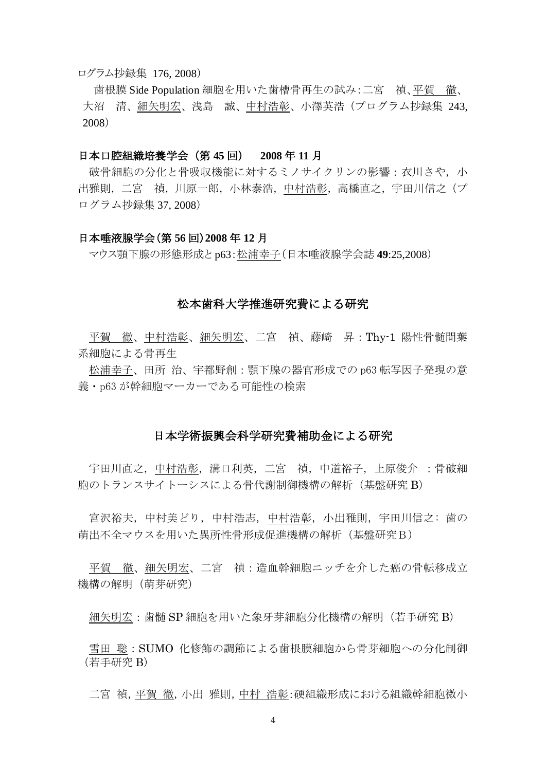#### ログラム抄録集 176, 2008)

歯根膜 Side Population 細胞を用いた歯槽骨再生の試み:二宮 禎、平賀 徹、 大沼 清、細矢明宏、浅島 誠、中村浩彰、小澤英浩(プログラム抄録集 243, 2008)

## 日本口腔組織培養学会(第 **45** 回) **2008** 年 **11** 月

破骨細胞の分化と骨吸収機能に対するミノサイクリンの影響:衣川さや,小 出雅則,二宮 禎,川原一郎,小林泰浩,中村浩彰,高橋直之,宇田川信之(プ ログラム抄録集 37, 2008)

#### 日本唾液腺学会(第 **56** 回)**2008** 年 **12** 月

マウス顎下腺の形態形成と p63:松浦幸子(日本唾液腺学会誌 **49**:25,2008)

#### 松本歯科大学推進研究費による研究

平賀 徹、中村浩彰、細矢明宏、二宮 禎、藤崎 昇:Thy-1 陽性骨髄間葉 系細胞による骨再生

松浦幸子、田所 治、宇都野創:顎下腺の器官形成での p63 転写因子発現の意 義・p63 が幹細胞マーカーである可能性の検索

#### 日本学術振興会科学研究費補助金による研究

宇田川直之,中村浩彰,溝口利英,二宮 禎,中道裕子,上原俊介 :骨破細 胞のトランスサイトーシスによる骨代謝制御機構の解析(基盤研究 B)

宮沢裕夫,中村美どり,中村浩志,中村浩彰,小出雅則,宇田川信之: 歯の 萌出不全マウスを用いた異所性骨形成促進機構の解析(基盤研究B)

平賀 徹、細矢明宏、二宮 禎:造血幹細胞ニッチを介した癌の骨転移成立 機構の解明(萌芽研究)

細矢明宏:歯髄 SP 細胞を用いた象牙芽細胞分化機構の解明(若手研究 B)

雪田 聡:SUMO 化修飾の調節による歯根膜細胞から骨芽細胞への分化制御 (若手研究 B)

二宮 禎,平賀 徹,小出 雅則,中村 浩彰:硬組織形成における組織幹細胞微小